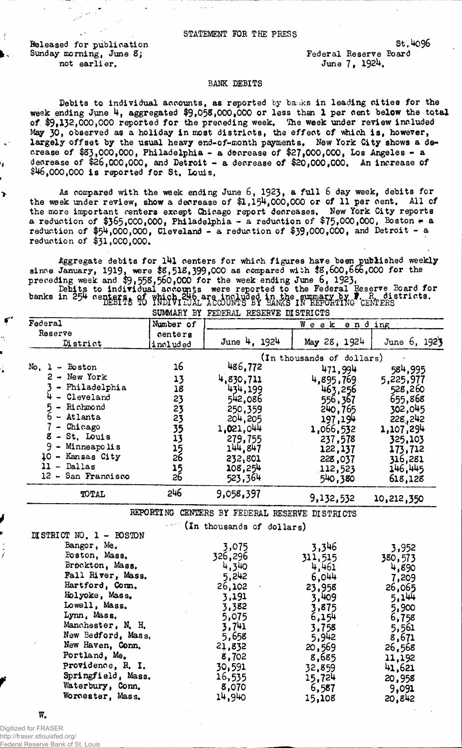**Released for publication Sunday morning, June 8; not earlier.**

ን

**Federal Reserve Board June 7 , 192\*\*,**

**st.4o96**

## **BANK DEBITS**

Debits to individual accounts, as reported by banks in leading cities for the **week ending June 4 , aggregated \$9»058,000,000 or less than 1 per cent below the total of \$9,132,000,000 reported for the preceding week, The week under review included** May 30, observed as a holiday in most districts, the effect of which is, however, largely offset by the usual heavy end-of-month payments. New York City shows a de**crease of \$83,000,000, Philadelphia - a decrease of \$27,000,000, Los Angeles - a decrease of \$26,000,000, and Detroit - a decrease of \$20,000,000, An increase of \$1\*6,000,000 is reported for St, Louis,**

As compared with the week ending June 6, 1923, a full 6 day week, debits for **the week under review, show a decrease of \$1,15\*\*,000,000 or of 11 per cent. All of the more important centers except Chicago report decreases. New York City reports a reduction of \$365,000,000, Philadelphia - a reduction of \$75,000,000, Boston \* a** reduction of  $$54,000,000$ , Cleveland  $-$  a reduction of  $$39,000,000$ , and Detroit - a **reduction of \$**3 1 **,**000**,**000**,**

**Aggregate debits for l4 l centers for which figures have been published weekly since January, 1919» were \$8,512,399,000 as compared with \$8,600,6**60**,000 for the preceding week and \$9,558,560,000 for the week ending June** 6 **, 1923,**

**Debits to individual accounts were reported to the Federal Reserve Board for banks** in  $\epsilon$ <sub>2</sub> c upstres to funity individual a country by earlystrating crimers. **SUMMARY BY FEDERAL RESERVE DISTRICTS**

| Federal                                                                                                                                                                                            | Number of                                                                   | Week ending                                                                                                               |                                                                                                                                                         |                                                                                                                            |
|----------------------------------------------------------------------------------------------------------------------------------------------------------------------------------------------------|-----------------------------------------------------------------------------|---------------------------------------------------------------------------------------------------------------------------|---------------------------------------------------------------------------------------------------------------------------------------------------------|----------------------------------------------------------------------------------------------------------------------------|
| Reserve<br>District                                                                                                                                                                                | centers<br>included                                                         | June 4, 1924                                                                                                              | May 28, 1924                                                                                                                                            | June $6, 192$ }                                                                                                            |
| $No. 1 - Boston$<br>2 - New York<br>Philadelphia<br>$\bullet$<br>- Cleveland<br>- Richmond<br>- Atlanta<br>- Chicago<br>8 - St. Louis<br>$9 -$<br>Minneapolis<br>10 - Kansas City<br>$11 -$ Dallas | 16<br>13<br>18<br>23<br>23<br>23<br>35<br>13<br>15<br>26<br>$\frac{15}{26}$ | 486,772<br>4,830,711<br>434,199<br>542,086<br>250,359<br>204,205<br>1,021,044<br>279,755<br>144,847<br>232,801<br>108,254 | (In thousands of dollars)<br>471,994<br>4,895,769<br>463,256<br>556,367<br>240, 765<br>197,194<br>1,066,532<br>237,578<br>122,137<br>228,037<br>112,523 | 584,995<br>5,225,977<br>528,260<br>655,868<br>302,045<br>228, 242<br>1,107,294<br>325,103<br>173,712<br>316,281<br>146,445 |
| 12 - San Francisco                                                                                                                                                                                 |                                                                             | 523,364                                                                                                                   | 540,380                                                                                                                                                 | 618,128                                                                                                                    |
| TOTAL                                                                                                                                                                                              | 246                                                                         | 9,058,397                                                                                                                 | 9,132,532                                                                                                                                               | 10,212,350                                                                                                                 |

**REPORTING CENTERS BY FEDERAL RESERVE DISTRICTS**

**(In thousands of dollars)**

| DISTRICT NO. 1 - BOSTON |         |         |         |
|-------------------------|---------|---------|---------|
| Bangor, Me.             | 3,075   | 3,346   | 3,952   |
| Boston, Mass.           | 326,296 | 311,515 | 380,573 |
| Brøckton, Mass.         | 4,340   | 4,461   | 4,890   |
| Fall River, Mass.       | 5,242   | 6,044   | 7,209   |
| Hartford, Com.          | 26,102  | 23,958  | 26,065  |
| Holyoke, Mass.          | 3,191   | 3,409   | 5,144   |
| Lowell, Mass.           | 3,382   | 3,875   | 5,900   |
| Lynn, Mass.             | 5,075   | 6,154   | 6,758   |
| Manchester, N. H.       | 3,741   | 3,758   | 5,561   |
| New Bedford, Mass.      | 5,658   | 5,942   | 8,671   |
| New Haven, Conn.        | 21,832  | 20,569  | 26,568  |
| Portland, Me.           | 8,702   | 8,685   | 11,192  |
| Providence, R. I.       | 30,591  | 32,859  | 41,621  |
| Springfield, Mass.      | 16,535  | 15,724  | 20,958  |
| Waterbury, Conn.        | 8,070   | 6,587   | 9,091   |
| Worcester, Mass.        | 14,940  | 15,108  | 20,842  |

**W.**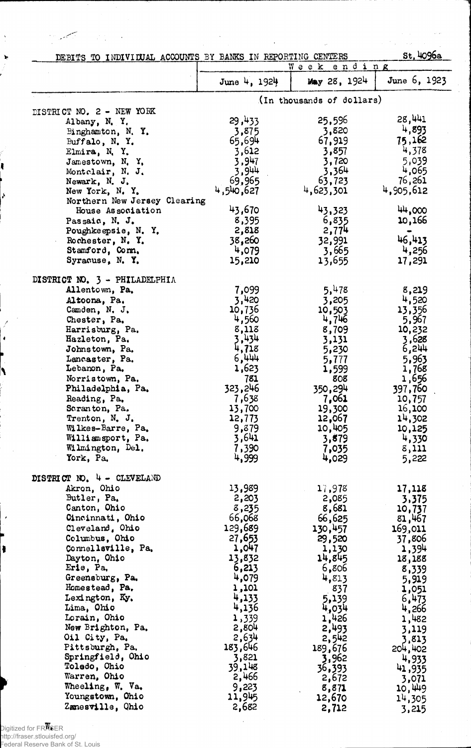| DEBITS TO INDIVIDUAL ACCOUNTS BY BANKS IN REPORTING CENTERS |                  |                           | st.4096a         |
|-------------------------------------------------------------|------------------|---------------------------|------------------|
|                                                             |                  | ending<br>Week            |                  |
|                                                             | June 4, $1924$   | May 28, 1924              | June 6, 1923     |
|                                                             |                  | (In thousands of dollars) |                  |
| DISTRICT NO. 2 - NEW YORK                                   |                  |                           | 28,441           |
| Albany, N.Y.                                                | 29,433           | 25,596                    | 4,893            |
| Binghamton, N.Y.                                            | 3,875<br>65,694  | 3,820<br>67,919           | 75,162           |
| Buffalo, N.Y.                                               | 3,612            | 3,857                     | 4,378            |
| Elmira, N.Y.<br>Jamestown, N.Y.                             | 3,947            | 3,720                     | 5,039            |
| Montclair, N. J.                                            | 3,944            | 3,364                     | 4,065            |
| Newark, N. J.                                               | 69,965           | 63,723                    | 76,261           |
| New York, N.Y.                                              | 4,540,627        | 4,623,301                 | 4,905,612        |
| Northern New Jersey Clearing                                |                  |                           |                  |
| House Association                                           | 43,670           | 43,323                    | 44,000           |
| Passaic, N. J.                                              | 8,395            | 6,835                     | 10,166           |
| Poughkeepsie, N.Y.                                          | 2,818            | 2,774                     |                  |
| Rochester, N.Y.                                             | 38,260           | 32,991                    | 46,413           |
| Stamford, Com.                                              | 4,079            | 3,665                     | 4,256            |
| Syracuse, N.Y.                                              | 15,210           | 13,655                    | 17,291           |
| DISTRICT NO. 3 - PHILADELPHIA                               |                  |                           |                  |
| Allentown, Pa.                                              | 7,099            | 5,478                     | 8,219            |
| Altoona, Pa.                                                | 3,420            | 3,205                     | 4,520            |
| Camden, N. J.                                               | 10,736           | 10,503                    | 13,356           |
| Chester, Pa.                                                | 4,560            | 4,746                     | 5,967            |
| Harrisburg, Pa.                                             | 8,113            | 8,709                     | 10,232           |
| Hazleton, Pa.                                               | 3,434            | 3,131                     | 3,628            |
| Johnstown, Pa.                                              | 4,718            | 5,230                     | 6,244            |
| Lancaster, Pa.                                              | 6,444            | 5,777                     | 5,963            |
| Lebanon, Pa.                                                | 1,623            | 1,599                     | 1,768            |
| Norristown, Pa.                                             | 781              | 808                       | 1,656            |
| Philadelphia, Pa.                                           | 323,246          | 350,294                   | 397,760          |
| Reading, Pa.                                                | 7,638            | 7,061                     | 10,757           |
| Seranton, Pa.<br>Trenton, N. J.                             | 13,700<br>12,773 | 19,300<br>12,067          | 16,100           |
| Wilkes-Barre, Pa.                                           | 9,879            | 10,405                    | 14,302<br>10,125 |
| Williamsport, Pa.                                           | 3,641            | 3,879                     | 4,330            |
| Wilmington, Del.                                            | 7,390            | 7,035                     | 8,111            |
| York, Pa.                                                   | 4,999            | 4,029                     | 5,222            |
|                                                             |                  |                           |                  |
| DISTRICT NO. 4 - CLEVELAND<br>Akron, Ohio                   | 13,989           | 17,978                    | 17,118           |
| Butler, Pa.                                                 | 2,203            | 2,085                     | 3,375            |
| Canton, Ohio                                                | 8,235            | 8,681                     | 10,737           |
| Cincinnati, Ohio                                            | 66,068           | 66,625                    | 81,467           |
| Cleveland, Ohio                                             | 129,689          | 130,457                   | 169,011          |
| Columbus, Ohio                                              | 27,653           | 29,520                    | 37,806           |
| Connellsville, Pa.                                          | 1,047            | 1,130                     | 1,394            |
| Dayton, Ohio                                                | 13,832           | 14,845                    | 18,188           |
| Erie, Pa.                                                   | 6,213            | 6,806                     | 8,339            |
| Greensburg, Pa.                                             | 4,079            | 4,813                     | 5,919            |
| Homestead, Pa.                                              | 1,101            | 837                       | 1,051            |
| Lexington, Ky.                                              | 4,133            | 5,139                     | 6,473            |
| Lima, Ohio                                                  | 4,136            | 4,034                     | 4,266            |
| Lorain, Ohio                                                | 1,339            | 1,426                     | 1,482            |
| New Brighton, Pa.<br>Oil City, Pa.                          | 2,804<br>2,634   | 2,493                     | 3,119            |
| Pittsburgh. Pa.                                             | 183,646          | 2,542                     | 3,813            |
| Springfield, Ohio                                           | 3,821            | 189,676<br>3,962          | 204,402          |
| Toledo, Ohio                                                | 39,148           | 36,393                    | 4,933            |
| Warren, Ohio                                                | 2,466            | 2,672                     | 41,935<br>3,071  |
| Wheeling, W. Va.                                            | 9,223            | 8,871                     | 10,449           |
| Youngstown, Ohio                                            | 11,945           | 12,670                    | 14,305           |
| Zanesville, Qhio                                            | 2,682            | 2,712                     | 3,215            |

 $\ddot{\phantom{a}}$ 

1

Digitized for FRASER http://fraser.stlouisfed.org/ Federal Reserve Bank of St. Louis

ł

بر

 $\bar{z}$ 

Ĵ,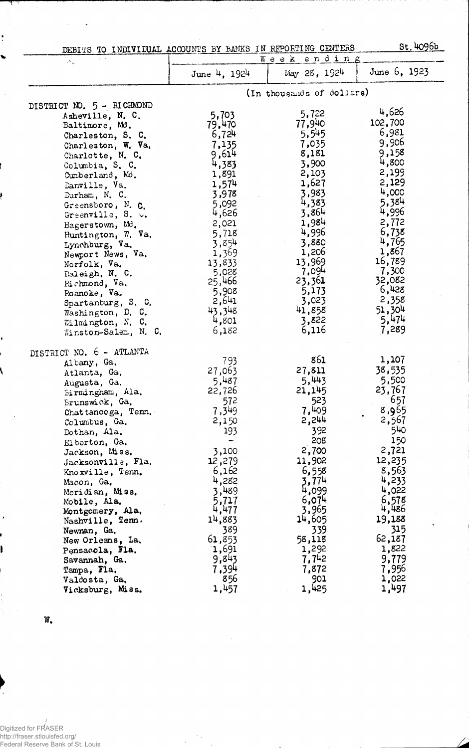| DEBITS TO INDIVIDUAL ACCOUNTS BY BANKS IN REPORTING CENTERS |              |                           | St.4096b     |  |
|-------------------------------------------------------------|--------------|---------------------------|--------------|--|
| $\sim$ $_{\rm L}$                                           |              | Week ending               |              |  |
|                                                             | June 4, 1924 | May 28, 1924              | June 6, 1923 |  |
|                                                             |              | (In thousands of dollars) |              |  |
| DISTRICT NO. 5 - RICHMOND                                   |              |                           |              |  |
| Asheville, N. C.                                            | 5,703        | 5,722                     | 4,626        |  |
| Baltimore, Md.                                              | 79,470       | 77,940                    | 102,700      |  |
| Charleston, S. C.                                           | 6,724        | 5,545                     | 6,981        |  |
| Charleston, W. Va.                                          | 7,135        | 7,035                     | 9,906        |  |
| Charlotte, N. C.                                            | 9,614        | 8,181                     | 9,158        |  |
| Columbia, S. C.                                             | 4,383        | 3,900                     | 4,800        |  |
| Cumberland, Md.                                             | 1,891        | 2,103                     | 2,199        |  |
| Danville, Va.                                               | 1,574        | 1,627                     | 2,129        |  |
| Durham, N. C.                                               | 3,978        | 3,983                     | 4,000        |  |
| Greensboro, N. C.                                           | 5,092        | 4,383                     | 5.384        |  |
| Greenville, S. u.                                           | 4,626        | 3,864                     | 4,996        |  |
| Hagerstown, Md.                                             | 2,021        | 1,984                     | 2,772        |  |
| Huntington, W. Va.                                          | 5,718        | 4,996                     | 6,738        |  |
| Lynchburg, Va.                                              | 3,854        | 3,880                     | 4,765        |  |
| Newport News, Va.                                           | 1,369        | 1,206                     | 1,867        |  |
| Norfolk, Va.                                                | 13,833       | 13,969                    | 16,789       |  |
| Raleigh, N. C.                                              | 5,028        | 7,094                     | 7,300        |  |
| Richmond, Va.                                               | 25,466       | 23,361                    | 32,082       |  |
| Roanoke, Va.                                                | 5,908        | 5,173                     | 6,428        |  |
| Spartanburg, S. C.                                          | 2,641        | 3,023                     | 2,358        |  |
| Washington, D. C.                                           | 43,348       | 41,858                    | 51,304       |  |
| Wilmington, N. C.                                           | 4,801        | 3,822                     | 5,474        |  |
| Winston-Salem, N. C.                                        | 6,182        | 6,116                     | 7,289        |  |
| DISTRICT NO. 6 - ATLANTA                                    |              |                           |              |  |
| Albany, Ga.                                                 | 793          | 861                       | 1,107        |  |
| Atlanta, Ga.                                                | 27,063       | 27,811                    | 38,535       |  |
| Augusta, Ga.                                                | 5,487        | 5,443                     | 5,500        |  |
| Birmingham, Ala.                                            | 22,726       | 21,145                    | 23,767       |  |
| Brunswick, Ga.                                              | 572          | 523                       | 657          |  |
| Chattanooga, Tenn.                                          | 7,349        | 7,409                     | 8,965        |  |
| Columbus, Ga.                                               | 2,150        | 2,244                     | 2,567        |  |
| Dothan, Ala.                                                | 193          | 392                       | 540          |  |
| Elberton, Ga.                                               |              | 208                       | 150          |  |
| Jackson, Miss.                                              | 3,100        | 2,700                     | 2,721        |  |
| Jacksonville, Fla,                                          | 12,279       | 11,902                    | 12,235       |  |
| Knoxville, Tenn.                                            | 6,162        | 6,558                     | 8,563        |  |
| Macon, Ga.                                                  | 4,282        | 3,774                     | 4,233        |  |
| Meridian, Miss.                                             | 3,489        | 4,099                     | 4,022        |  |
| Mobile, Ala.                                                | 5,717        | 6,074                     | 6,578        |  |
| Montgomery, Ala.                                            | 4,477        | 3,965                     | 4,486        |  |
| Nashville, Tenn.                                            | 14,883       | 14,605                    | 19,188       |  |
| Newnan, Ga.                                                 | 389          | 339                       | 315          |  |
| New Orleans, La.                                            | 61,853       | 58,118                    | 62,187       |  |
| Pensacola, Fla.                                             | 1,691        | 1,292                     | 1,822        |  |
| Savannah, Ga.                                               | 9,843        | 7,742                     | 9,779        |  |
| Tampa, Fla.                                                 | 7,394        | 7,872                     | 7,956        |  |
| Valdosta, Ga,                                               | 856          | 901                       | 1,022        |  |
| Vicksburg, Miss.                                            | 1,457        | 1,425                     | 1,497        |  |

l,

w.

ŧ

ŧ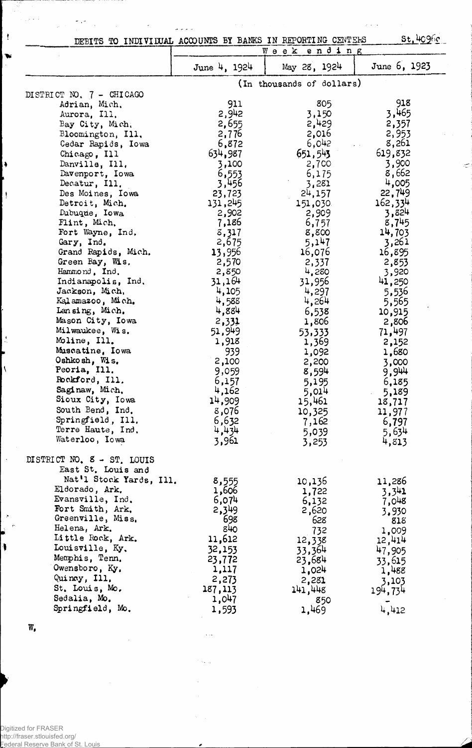| St.409fc<br>DEBITS TO INDIVIDUAL ACCOUNTS BY BANKS IN REPORTING CENTERS<br>Week ending |                |                           |              |
|----------------------------------------------------------------------------------------|----------------|---------------------------|--------------|
|                                                                                        |                |                           |              |
|                                                                                        | June 4, 1924   | May 28, 1924              | June 6, 1923 |
|                                                                                        |                | (In thousands of dollars) |              |
| DISTRICT NO. 7 - CHICAGO                                                               |                |                           |              |
| Adrian, Mich.                                                                          | 911            | 805                       | 918          |
| Aurora, Ill.                                                                           | 2,942          | 3,150                     | 3,465        |
| Bay City, Mich.                                                                        | 2,655          | 2,429                     | 2,357        |
| Bloomington, Ill.                                                                      | 2,776          | 2,016                     | 2,953        |
| Cedar Rapids, Iowa                                                                     | 6,872          | 6,042                     | 8,261        |
| Chicago, Ill                                                                           | 634,987        | 651,543                   | 619,832      |
| Danville, Ill.                                                                         | 3,100          | 2,700                     | 3,900        |
| Davenport, Iowa                                                                        | 6,553          | 6,175                     | 8,662        |
| Decatur, Ill.                                                                          | 3,456          | 3,281                     | 4,005        |
| Des Moines, Iowa                                                                       | 23,723         | $2^{1}$ , 157             | 22,749       |
| Detroit, Mich.                                                                         | 131,245        | 151,030                   | 162,334      |
| Dubuque, Iowa                                                                          | 2,902          | 2,909                     | 3,824        |
| Flint, Mich,                                                                           | 7,186          | 6,757                     | 8,745        |
| Fort Wayne, Ind.                                                                       | 8,317          | 8,800                     | 14,703       |
| Gary, Ind.                                                                             | 2,675          | 5,147                     | 3,261        |
| Grand Rapids, Mich.                                                                    | 13,956         | 16,076                    | 16,895       |
| Green Bay, Wis.                                                                        | 2,570          | 2,337                     | 2,853        |
| Hammond, Ind.                                                                          | 2,850          | 4,280                     | 3,920        |
| Indianapolis, Ind.                                                                     | 31,164         | 31,956                    | 41,250       |
| Jackson, Mich,                                                                         | 4,105          | 4,297                     | 5,536        |
| Kalamazoo, Mich.                                                                       | 4,588          | 4,264                     | 5,565        |
| Lansing, Mich.                                                                         | 4,884          | 6,538                     | 10,915       |
| Mason City, Iowa                                                                       | 2,331          | 1,806                     | 2,806        |
| Milwaukee, Wis.                                                                        | 51,949         | 53,333                    | 71,497       |
| Moline, Ill.                                                                           | 1,918          | 1,369                     | 2,152        |
| Muscatine, Iowa                                                                        | 939            | 1,092                     | 1,680        |
| Oshkosh, Wis.                                                                          | 2,100          | 2,200                     | 3,000        |
| Peoria, Ill.                                                                           | 9,059          | 8,594                     | 9,944        |
| Rockford, Ill.                                                                         | 6,157          | 5,195                     | 6,185        |
| Saginaw, Mich.                                                                         | 4,162          | 5,014                     | 5,189        |
| Sioux City, Iowa                                                                       | 14,909         | 15,461                    | 18,717       |
| South Bend, Ind.                                                                       | 8,076          | 10,325                    | 11,977       |
| Springfield, Ill.                                                                      | 6,632          | 7,162                     | 6,797        |
| Terre Haute, Ind.                                                                      | 4,434          | 5,039                     | 5,634        |
| Waterloo, Iowa                                                                         | 3,961          | 3,253                     | 4,813        |
| DISTRICT NO. 8 - ST. LOUIS                                                             |                |                           |              |
| East St. Louis and                                                                     |                |                           |              |
| Nat'l Stock Yards, Ill.                                                                |                |                           |              |
| Eldorado, Ark.                                                                         | 8,555<br>1,606 | 10,136                    | 11,286       |
| Evansville, Ind.                                                                       | 6,074          | 1,722                     | 3,341        |
| Fort Smith, Ark.                                                                       | 2,349          | 6,132                     | 7,048        |
| Greenville, Miss.                                                                      | 698            | 2,620<br>628              | 3,930        |
| Helena, Ark.                                                                           | 840            |                           | 818          |
| Little Rock, Ark.                                                                      | 11,612         | 732                       | 1,009        |
| Louisville, Ky.                                                                        | 32,153         | 12,338                    | 12,414       |
| Memphis, Tenn.                                                                         |                | 33,364                    | 47,905       |
| Owensboro, Ky.                                                                         | 23,772         | 23,684                    | 33,615       |
| Quincy, Ill.                                                                           | 1,117          | 1,024                     | 1,488        |
| St. Louis, Mo.                                                                         | 2,273          | 2,281                     | 3,103        |
|                                                                                        | 187,113        | 141,448                   | 194,734      |
| Sedalia, Mo.<br>Springfield, Mo.                                                       | 1,047          | 850                       |              |
|                                                                                        | 1,593          | 1,469                     | 4,412        |

 $\beta$  ,  $\beta$ 

 $\gamma$  and  $\gamma_{\rm F}$ 

 $\hat{\boldsymbol{\gamma}}$ 

٠

 $\bar{\gamma}$ 

 $\alpha$  ,  $\beta$ 

 $\tau \sim \beta$ 

w.

 $\mu\sigma\neq\infty$ 

 $\,$   $\,$ 

Þ

 $\ddot{\bullet}$ 

 $\vert$ 

 $\frac{1}{2}$ 

 $\pmb{\zeta}$ 

 $\ddot{\phantom{a}}$ 

 $\ddot{\phantom{a}}$  $\epsilon$ 

 $\ddot{\phantom{a}}$ 

 $\frac{1}{\sqrt{2}}\frac{1}{\sqrt{2}}\frac{d\theta}{d\theta}=\frac{1}{2}\frac{1}{2}\frac{d\theta}{d\theta}$ 

 $\hat{\boldsymbol{\theta}}$ 

المالاني

 $\frac{1}{2} \frac{1}{2} \frac{1}{2}$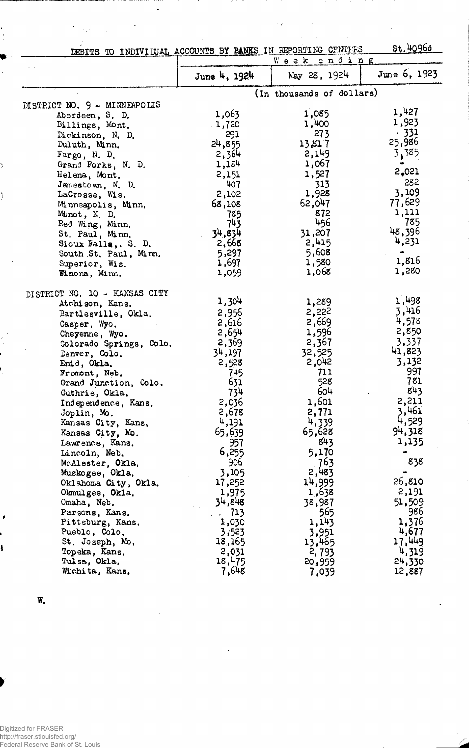|                                                             |                  |                           | st. 4096d    |
|-------------------------------------------------------------|------------------|---------------------------|--------------|
| DEBITS TO INDIVITUAL ACCOUNTS BY BANKS IN REPORTING CENTERS |                  | Week ending               |              |
|                                                             |                  |                           |              |
|                                                             | June 4, 1924     | May 28, 1924              | June 6, 1923 |
|                                                             |                  | (In thousands of dollars) |              |
| DISTRICT NO. 9 - MINNEAPOLIS                                |                  |                           |              |
| Aberdeen, S. D.                                             | 1,063            | 1,085                     | 1,427        |
| Billings, Mont.                                             | 1,720            | 1,400                     | 1,923        |
| Dickinson, N. D.                                            | 291              | 273                       | .331         |
| Duluth, Minn.                                               | 24,855           | 13,817                    | 25,986       |
| Fargo, N. D.                                                | 2,364            | 2,149                     | 3,385        |
| Grand Forks, N. D.                                          | 1,184            | 1,067                     |              |
|                                                             | 2,151            | 1,527                     | 2,021        |
| Helena, Mont,                                               | 407              | .313                      | 282          |
| Jamestown, N. D.                                            |                  | 1,928                     | 3,109        |
| LaCrosse, Wis.                                              | 2,102            |                           | 77,629       |
| Minneapolis, Minn.                                          | 68,108           | 62,047                    | 1,111        |
| Minot, N. D.                                                | 785              | 872<br>456                | 785          |
| Red Wing, Minn.                                             | 743              |                           | 48,396       |
| St. Paul, Minn.                                             | 34,834           | 31,207                    | 4,231        |
| Sioux Falls, S. D.                                          | 2,668            | 2,415                     |              |
| South St. Paul, Minn.                                       | 5,297            | 5,608                     | 1,816        |
| Superior, Wis.                                              | 1,697            | 1,580                     | 1,280        |
| Winona, Minn.                                               | 1,059            | 1,068                     |              |
| DISTRICT NO. 10 - KANSAS CITY                               |                  |                           |              |
| Atchison, Kans.                                             | 1,304            | 1,289                     | 1,498        |
| Bartlesville, Okla.                                         | 2,956            | 2,222                     | 3,416        |
| Casper, Wyo.                                                | 2,616            | 2,669                     | 4,578        |
| Cheyenne, Wyo.                                              | 2,654            | 1,596                     | 2,850        |
| Colorado Springs, Colo.                                     | 2,369            | 2,367                     | 3,337        |
| Denver, Colo.                                               | 34,197           | 32,525                    | 41,823       |
| Enid, Okla.                                                 | 2,528            | 2,042                     | 3,132        |
| Fremont, Neb.                                               | 745              | 711                       | 997          |
|                                                             | 631              | 528                       | 781          |
| Grand Junction, Colo.                                       |                  | 604                       | 843          |
| Guthrie, Okla.                                              | 734<br>2,036     | 1,601                     | 2,211        |
| Independence, Kans.                                         | 2,678            | 2,771                     | 3,461        |
| Joplin, Mo.                                                 | 4,191            | 4,339                     | 4,529        |
| Kansas City, Kans,                                          | 65,639           | 65,628                    | 94,318       |
| Kansas City, Mo.                                            |                  | 843                       | 1,135        |
| Lawrence, Kans.                                             | 957              | 5,170                     |              |
| Lincoln, Neb.                                               | 6,255            |                           | 838          |
| McAlester, Okla.                                            | 906              | 763                       |              |
| Muskogee, Okla.                                             | 3,105            | 2,483                     | 26,810       |
| Oklahoma City, Okla.                                        | 17,252           | 14,999                    |              |
| Okmulgee, Okla.                                             | 1,975            | 1,638                     | 2,191        |
| Omaha, Neb.                                                 | 34,848           | 38,987                    | 51,509       |
| Parsons, Kans.                                              | $\therefore$ 713 | 565                       | 986          |
| Pittsburg, Kans.                                            | 1,030            | 1,143                     | 1,376        |
| Pueblo, Colo.                                               | 3,523            | 3,951                     | 4,677        |
| St. Joseph, Mo.                                             | 18,165           | 13,465                    | 17,449       |
| Topeka, Kans,                                               | 2,031            | 2,793                     | 4,319        |
| Tulsa, Okla.                                                | 18,475           | 20,959                    | 24,330       |
| Wichita, Kans,                                              | 7,648            | 7,039                     | 12,887       |

 $\label{eq:2} \begin{split} \mathcal{L}(\mathbf{z}) & = \frac{1}{2} \sum_{i=1}^{2} \mathcal{L}(\mathbf{z}) \mathcal{L}(\mathbf{z}) \mathcal{L}(\mathbf{z}) \mathcal{L}(\mathbf{z}) \mathcal{L}(\mathbf{z}) \mathcal{L}(\mathbf{z}) \mathcal{L}(\mathbf{z}) \mathcal{L}(\mathbf{z}) \mathcal{L}(\mathbf{z}) \mathcal{L}(\mathbf{z}) \mathcal{L}(\mathbf{z}) \mathcal{L}(\mathbf{z}) \mathcal{L}(\mathbf{z}) \mathcal{L}(\mathbf{z}) \mathcal{L}(\mathbf$ 

 $\hat{\beta}$ 

 $\label{eq:2.1} \frac{d\mathbf{r}}{dt} = \frac{1}{\sqrt{2\pi}}\frac{1}{\sqrt{2\pi}}\frac{d\mathbf{r}}{dt},$ 

 $\ddot{\phantom{0}}$ 

 $\overline{W}_a$ 

 $\frac{1}{2}$ 

 $\mathcal{E}$ 

 $\overline{\phantom{a}}$ 

 $\frac{1}{4}$ 

Ļ

ł